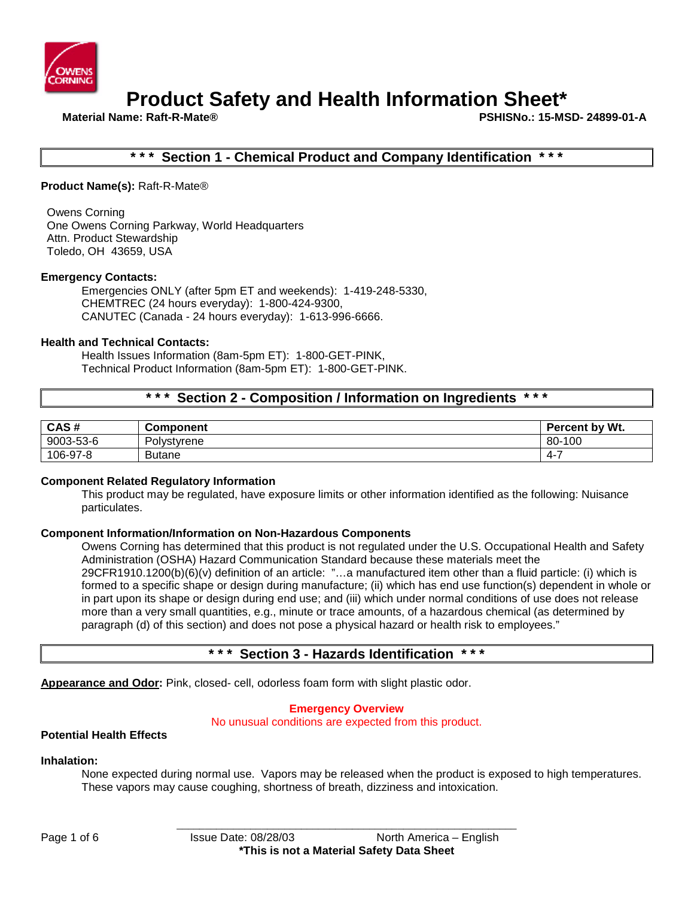

**Material Name: Raft-R-Mate® PSHISNo.: 15-MSD- 24899-01-A**

### **Section 1 - Chemical Product and Company Identification**

**Product Name(s):** Raft-R-Mate®

Owens Corning One Owens Corning Parkway, World Headquarters Attn. Product Stewardship Toledo, OH 43659, USA

### **Emergency Contacts:**

Emergencies ONLY (after 5pm ET and weekends): 1-419-248-5330, CHEMTREC (24 hours everyday): 1-800-424-9300, CANUTEC (Canada - 24 hours everyday): 1-613-996-6666.

### **Health and Technical Contacts:**

Health Issues Information (8am-5pm ET): 1-800-GET-PINK, Technical Product Information (8am-5pm ET): 1-800-GET-PINK.

# **\* \* \* Section 2 - Composition / Information on Ingredients \* \* \***

| CAS#      | <b>Component</b> | Percent by Wt. |
|-----------|------------------|----------------|
| 9003-53-6 | Polystyrene      | .100<br>80-    |
| 106-97-8  | <b>Butane</b>    | 4-             |

### **Component Related Regulatory Information**

This product may be regulated, have exposure limits or other information identified as the following: Nuisance particulates.

### **Component Information/Information on Non-Hazardous Components**

Owens Corning has determined that this product is not regulated under the U.S. Occupational Health and Safety Administration (OSHA) Hazard Communication Standard because these materials meet the 29CFR1910.1200(b)(6)(v) definition of an article: "…a manufactured item other than a fluid particle: (i) which is formed to a specific shape or design during manufacture; (ii) which has end use function(s) dependent in whole or in part upon its shape or design during end use; and (iii) which under normal conditions of use does not release more than a very small quantities, e.g., minute or trace amounts, of a hazardous chemical (as determined by paragraph (d) of this section) and does not pose a physical hazard or health risk to employees."

# **\* \* \* Section 3 - Hazards Identification \* \* \***

**Appearance and Odor:** Pink, closed- cell, odorless foam form with slight plastic odor.

### **Emergency Overview**

No unusual conditions are expected from this product.

### **Potential Health Effects**

### **Inhalation:**

None expected during normal use. Vapors may be released when the product is exposed to high temperatures. These vapors may cause coughing, shortness of breath, dizziness and intoxication.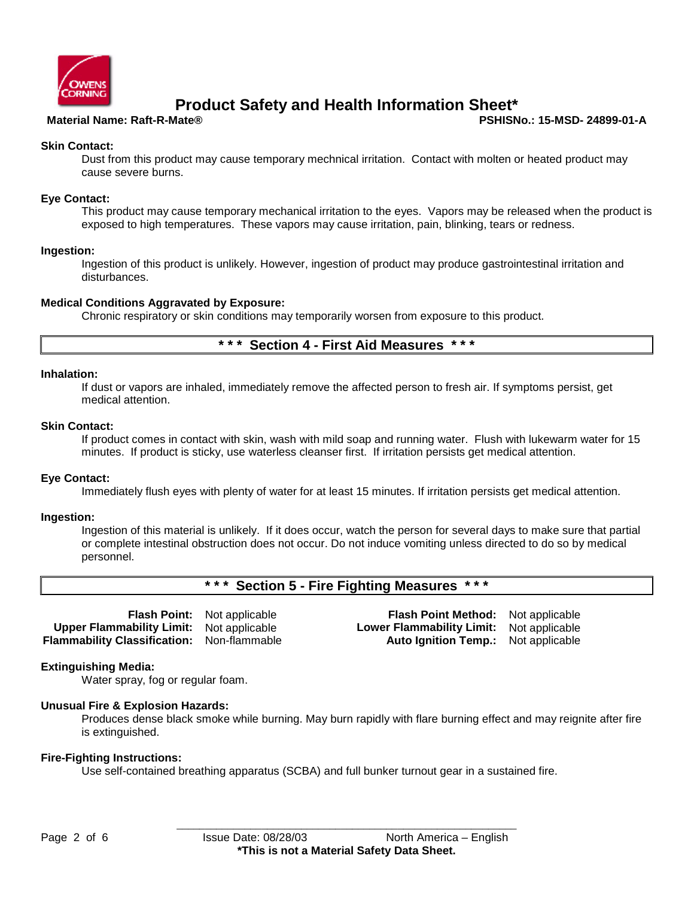

**Material Name: Raft-R-Mate® PSHISNo.: 15-MSD- 24899-01-A**

### **Skin Contact:**

Dust from this product may cause temporary mechnical irritation. Contact with molten or heated product may cause severe burns.

### **Eye Contact:**

This product may cause temporary mechanical irritation to the eyes. Vapors may be released when the product is exposed to high temperatures. These vapors may cause irritation, pain, blinking, tears or redness.

### **Ingestion:**

Ingestion of this product is unlikely. However, ingestion of product may produce gastrointestinal irritation and disturbances.

### **Medical Conditions Aggravated by Exposure:**

Chronic respiratory or skin conditions may temporarily worsen from exposure to this product.

## **\* \* \* Section 4 - First Aid Measures \* \* \***

### **Inhalation:**

If dust or vapors are inhaled, immediately remove the affected person to fresh air. If symptoms persist, get medical attention.

### **Skin Contact:**

If product comes in contact with skin, wash with mild soap and running water. Flush with lukewarm water for 15 minutes. If product is sticky, use waterless cleanser first. If irritation persists get medical attention.

### **Eye Contact:**

Immediately flush eyes with plenty of water for at least 15 minutes. If irritation persists get medical attention.

### **Ingestion:**

Ingestion of this material is unlikely. If it does occur, watch the person for several days to make sure that partial or complete intestinal obstruction does not occur. Do not induce vomiting unless directed to do so by medical personnel.

# **\* \* \* Section 5 - Fire Fighting Measures \* \* \***

**Upper Flammability Limit:** Not applicable **Lower Flammability Limit:** Not applicable **Flammability Classification:** Non-flammable **Auto Ignition Temp.:** Not applicable

**Flash Point:** Not applicable **Flash Point Method:** Not applicable

### **Extinguishing Media:**

Water spray, fog or regular foam.

### **Unusual Fire & Explosion Hazards:**

Produces dense black smoke while burning. May burn rapidly with flare burning effect and may reignite after fire is extinguished.

### **Fire-Fighting Instructions:**

Use self-contained breathing apparatus (SCBA) and full bunker turnout gear in a sustained fire.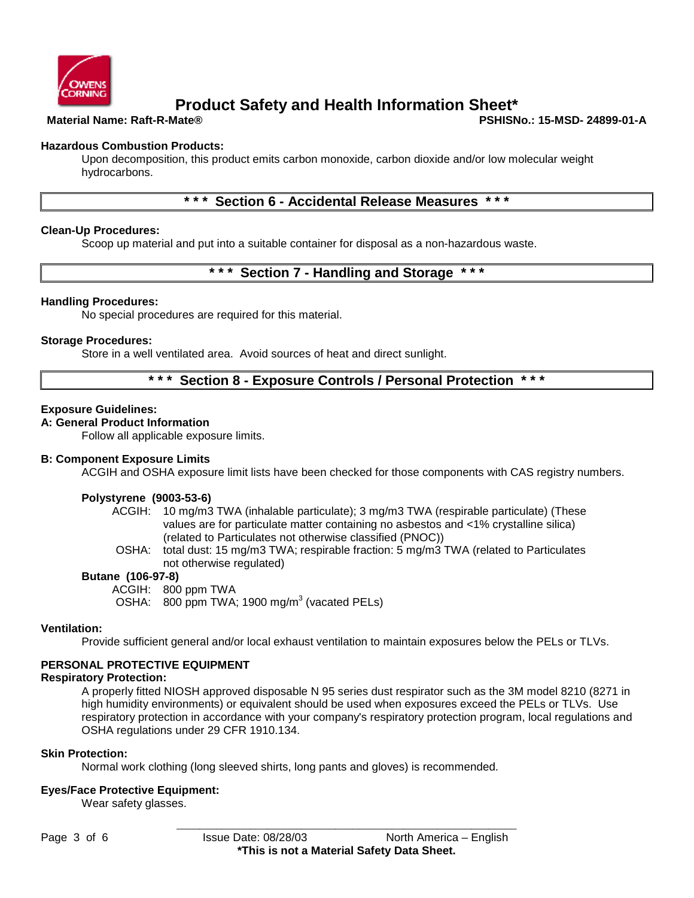

**Material Name: Raft-R-Mate® PSHISNo.: 15-MSD- 24899-01-A**

### **Hazardous Combustion Products:**

Upon decomposition, this product emits carbon monoxide, carbon dioxide and/or low molecular weight hydrocarbons.

# **\* \* \* Section 6 - Accidental Release Measures \* \* \***

### **Clean-Up Procedures:**

Scoop up material and put into a suitable container for disposal as a non-hazardous waste.

### **\* \* \* Section 7 - Handling and Storage \* \* \***

### **Handling Procedures:**

No special procedures are required for this material.

### **Storage Procedures:**

Store in a well ventilated area. Avoid sources of heat and direct sunlight.

# **\* \* \* Section 8 - Exposure Controls / Personal Protection \* \* \***

### **Exposure Guidelines:**

### **A: General Product Information**

Follow all applicable exposure limits.

### **B: Component Exposure Limits**

ACGIH and OSHA exposure limit lists have been checked for those components with CAS registry numbers.

### **Polystyrene (9003-53-6)**

ACGIH: 10 mg/m3 TWA (inhalable particulate); 3 mg/m3 TWA (respirable particulate) (These values are for particulate matter containing no asbestos and <1% crystalline silica) (related to Particulates not otherwise classified (PNOC))

OSHA: total dust: 15 mg/m3 TWA; respirable fraction: 5 mg/m3 TWA (related to Particulates not otherwise regulated)

### **Butane (106-97-8)**

ACGIH: 800 ppm TWA

OSHA:  $800 \text{ ppm}$  TWA; 1900 mg/m<sup>3</sup> (vacated PELs)

### **Ventilation:**

Provide sufficient general and/or local exhaust ventilation to maintain exposures below the PELs or TLVs.

### **PERSONAL PROTECTIVE EQUIPMENT**

### **Respiratory Protection:**

A properly fitted NIOSH approved disposable N 95 series dust respirator such as the 3M model 8210 (8271 in high humidity environments) or equivalent should be used when exposures exceed the PELs or TLVs. Use respiratory protection in accordance with your company's respiratory protection program, local regulations and OSHA regulations under 29 CFR 1910.134.

### **Skin Protection:**

Normal work clothing (long sleeved shirts, long pants and gloves) is recommended.

### **Eyes/Face Protective Equipment:**

Wear safety glasses.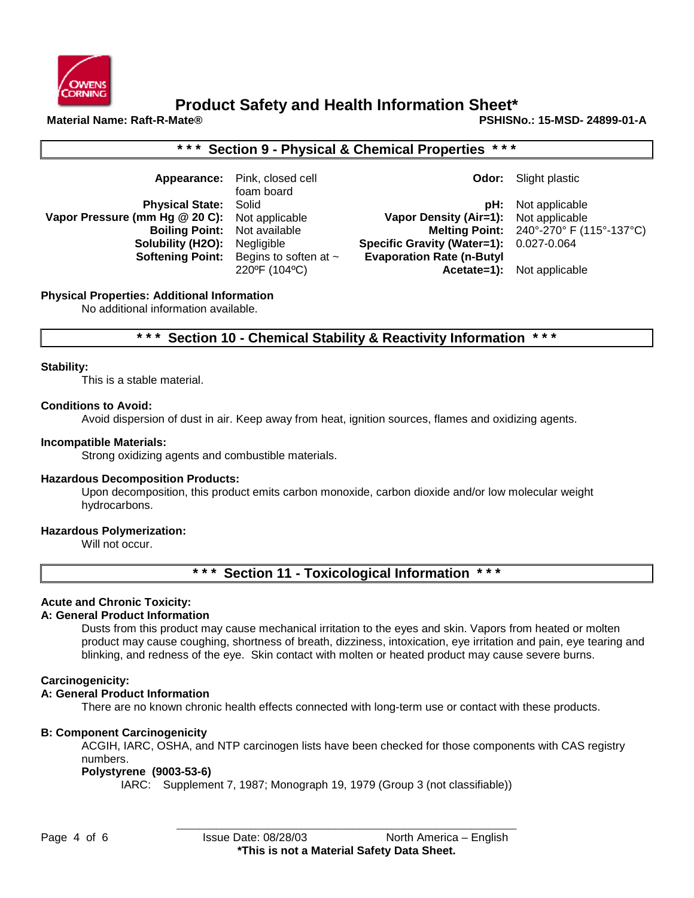

# **Product Safety and Health Information Sheet\***<br>Material Name: Raft-R-Mate®

**Material Name: Raft-R-Mate® PSHISNo.: 15-MSD- 24899-01-A**

| *** Section 9 - Physical & Chemical Properties ***                                                                                |                                                                                                       |                                                                                                                               |                                                                                                              |  |  |  |  |
|-----------------------------------------------------------------------------------------------------------------------------------|-------------------------------------------------------------------------------------------------------|-------------------------------------------------------------------------------------------------------------------------------|--------------------------------------------------------------------------------------------------------------|--|--|--|--|
| Appearance:                                                                                                                       | Pink, closed cell<br>foam board                                                                       | Odor:                                                                                                                         | Slight plastic                                                                                               |  |  |  |  |
| <b>Physical State:</b><br>Vapor Pressure (mm Hg @ 20 C):<br><b>Boiling Point:</b><br>Solubility (H2O):<br><b>Softening Point:</b> | Solid<br>Not applicable<br>Not available<br>Negligible<br>Begins to soften at $\sim$<br>220°F (104°C) | pH:<br><b>Vapor Density (Air=1):</b><br><b>Specific Gravity (Water=1):</b><br><b>Evaporation Rate (n-Butyl</b><br>Acetate=1): | Not applicable<br>Not applicable<br>Melting Point: 240°-270° F (115°-137°C)<br>0.027-0.064<br>Not applicable |  |  |  |  |
| <b>Physical Properties: Additional Information</b><br>No additional information available.                                        |                                                                                                       |                                                                                                                               |                                                                                                              |  |  |  |  |
| * * *<br>* * *<br>Section 10 - Chemical Stability & Reactivity Information                                                        |                                                                                                       |                                                                                                                               |                                                                                                              |  |  |  |  |

### **Stability:**

This is a stable material.

### **Conditions to Avoid:**

Avoid dispersion of dust in air. Keep away from heat, ignition sources, flames and oxidizing agents.

### **Incompatible Materials:**

Strong oxidizing agents and combustible materials.

### **Hazardous Decomposition Products:**

Upon decomposition, this product emits carbon monoxide, carbon dioxide and/or low molecular weight hydrocarbons.

### **Hazardous Polymerization:**

Will not occur.

# **\* \* \* Section 11 - Toxicological Information \* \* \***

### **Acute and Chronic Toxicity:**

### **A: General Product Information**

Dusts from this product may cause mechanical irritation to the eyes and skin. Vapors from heated or molten product may cause coughing, shortness of breath, dizziness, intoxication, eye irritation and pain, eye tearing and blinking, and redness of the eye. Skin contact with molten or heated product may cause severe burns.

### **Carcinogenicity:**

### **A: General Product Information**

There are no known chronic health effects connected with long-term use or contact with these products.

### **B: Component Carcinogenicity**

ACGIH, IARC, OSHA, and NTP carcinogen lists have been checked for those components with CAS registry numbers.

### **Polystyrene (9003-53-6)**

IARC: Supplement 7, 1987; Monograph 19, 1979 (Group 3 (not classifiable))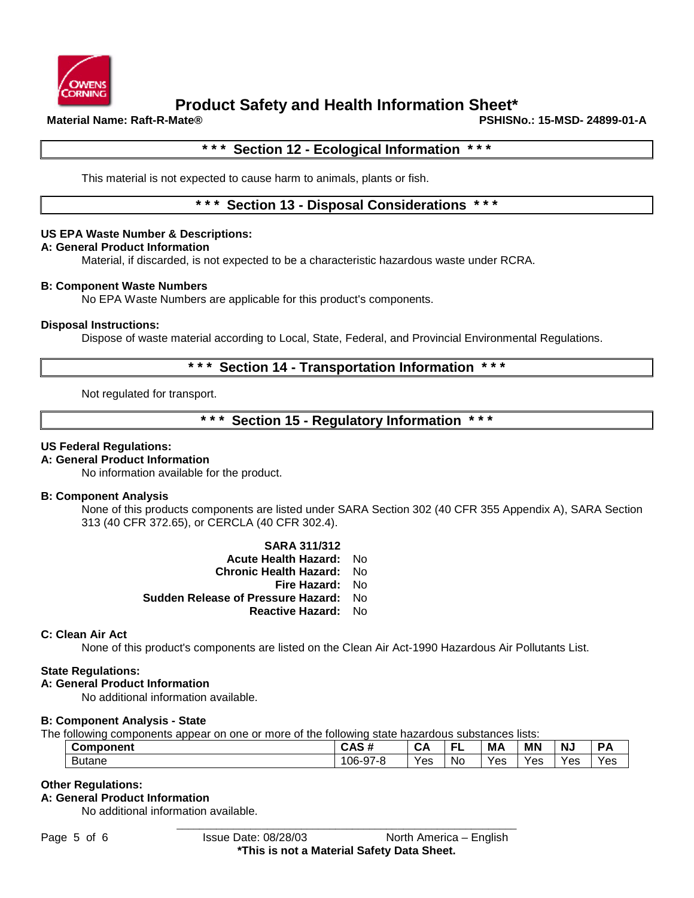

# **Product Safety and Health Information Sheet\***<br>Material Name: Raft-R-Mate®

**Material Name: Raft-R-Mate® PSHISNo.: 15-MSD- 24899-01-A**

### **\* \* \* Section 12 - Ecological Information \* \* \***

This material is not expected to cause harm to animals, plants or fish.

### **\* \* \* Section 13 - Disposal Considerations \* \* \***

### **US EPA Waste Number & Descriptions:**

### **A: General Product Information**

Material, if discarded, is not expected to be a characteristic hazardous waste under RCRA.

### **B: Component Waste Numbers**

No EPA Waste Numbers are applicable for this product's components.

### **Disposal Instructions:**

Dispose of waste material according to Local, State, Federal, and Provincial Environmental Regulations.

### **Section 14 - Transportation Information**

Not regulated for transport.

### **\* \* \* Section 15 - Regulatory Information \* \* \***

### **US Federal Regulations:**

### **A: General Product Information**

No information available for the product.

### **B: Component Analysis**

None of this products components are listed under SARA Section 302 (40 CFR 355 Appendix A), SARA Section 313 (40 CFR 372.65), or CERCLA (40 CFR 302.4).

> **SARA 311/312 Acute Health Hazard:** No **Chronic Health Hazard:** No **Fire Hazard:** No **Sudden Release of Pressure Hazard:** No **Reactive Hazard:** No

### **C: Clean Air Act**

None of this product's components are listed on the Clean Air Act-1990 Hazardous Air Pollutants List.

### **State Regulations:**

### **A: General Product Information**

No additional information available.

### **B: Component Analysis - State**

The following components appear on one or more of the following state hazardous substances lists:

| <b>Component</b> | ```<br><br>UMJ.<br>71                                           | -<br>◡่    | --        | М,  | <b>MN</b> | N.  |     |
|------------------|-----------------------------------------------------------------|------------|-----------|-----|-----------|-----|-----|
| <b>Butane</b>    | $\sim$<br>$06-9$<br>$\sim$<br>. .<br>$\lambda$ - $\sim$<br>ิง เ | . .<br>Yes | <b>No</b> | Yes | Yes       | Yes | Yes |

### **Other Regulations:**

### **A: General Product Information**

No additional information available.